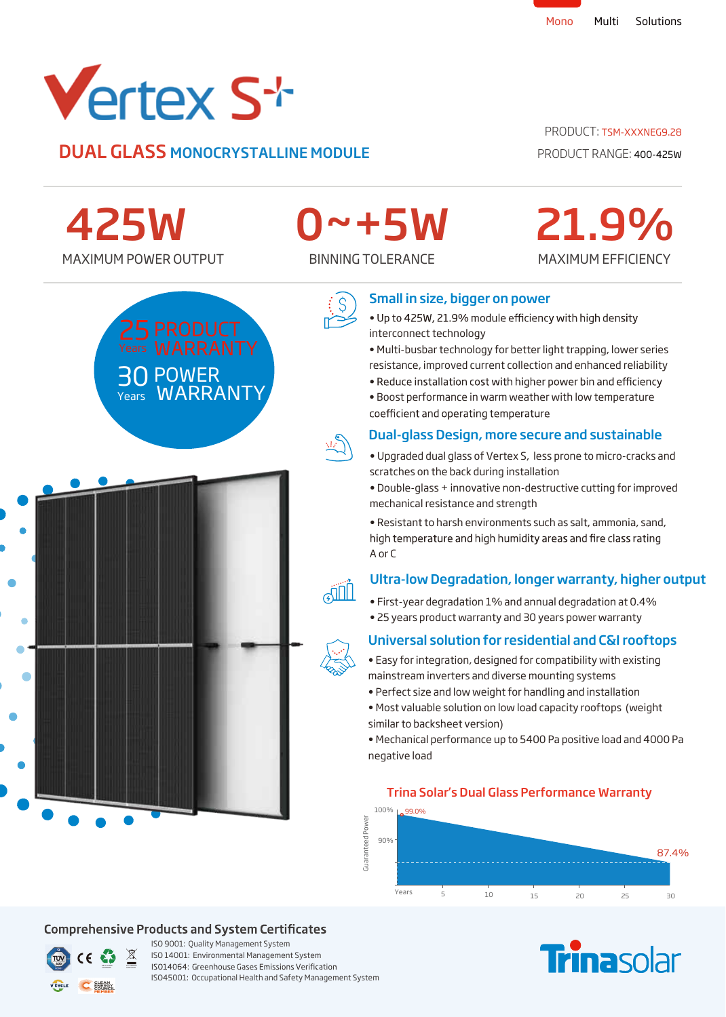

30 POWER

Years **WARRANTY** 

**DUAL GLASS MONOCRYSTALLINE MODULE** PRODUCT RANGE: 400-425W

#### PRODUCT: TSM-XXXNFG9.28

MAXIMUM EFFICIENCY

21.9%

MAXIMUM POWER OUTPUT BINNING TOLERANCE 425W

# 0~+5W



#### Small in size, bigger on power

- . Up to 425W, 21.9% module efficiency with high density interconnect technology
- Multi-busbar technology for better light trapping, lower series resistance, improved current collection and enhanced reliability
- . Reduce installation cost with higher power bin and efficiency
- Boost performance in warm weather with low temperature coefficient and operating temperature

## Dual-glass Design, more secure and sustainable

- Upgraded dual glass of Vertex S, less prone to micro-cracks and scratches on the back during installation
- Double-glass + innovative non-destructive cutting for improved mechanical resistance and strength l

• Resistant to harsh environments such as salt, ammonia, sand, high temperature and high humidity areas and fire class rating A or C

#### Ultra-low Degradation, longer warranty, higher output j

- First-year degradation 1% and annual degradation at 0.4%
- 25 years product warranty and 30 years power warranty

# Universal solution for residential and C&I rooftops



- Perfect size and low weight for handling and installation
- Most valuable solution on low load capacity rooftops (weight similar to backsheet version)

• Mechanical performance up to 5400 Pa positive load and 4000 Pa negative load

Trina Solar's Dual Glass Performance Warranty

## $100\%$   $\mu$  99.0% Guaranteed Power Guaranteed Power 90% 87.4% Years 5 10 15 20 25 30





## **Comprehensive Products and System Certificates**



ISO 9001: Quality Management System ISO 14001: Environmental Management System ISO14064: Greenhouse Gases Emissions Verification ISO45001: Occupational Health and Safety Management System